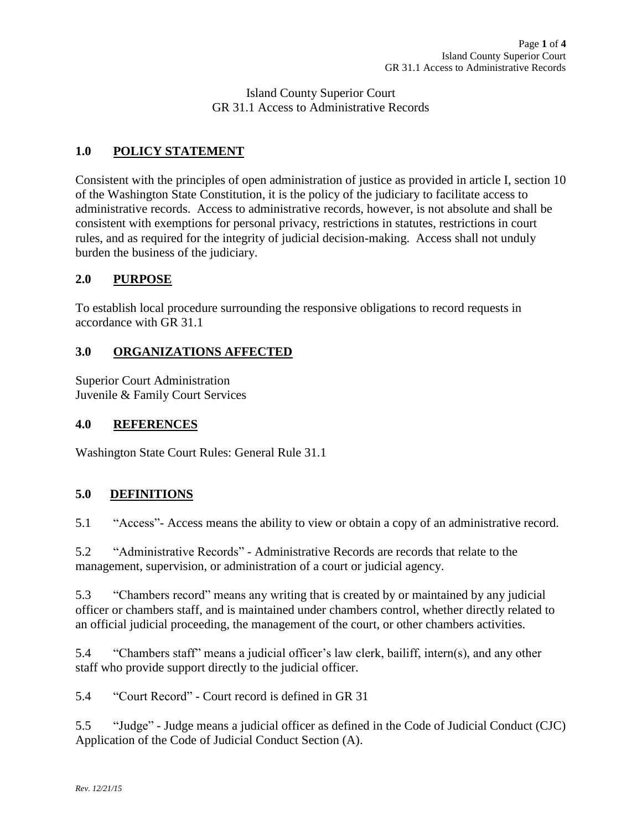Island County Superior Court GR 31.1 Access to Administrative Records

## **1.0 POLICY STATEMENT**

Consistent with the principles of open administration of justice as provided in article I, section 10 of the Washington State Constitution, it is the policy of the judiciary to facilitate access to administrative records. Access to administrative records, however, is not absolute and shall be consistent with exemptions for personal privacy, restrictions in statutes, restrictions in court rules, and as required for the integrity of judicial decision-making. Access shall not unduly burden the business of the judiciary.

### **2.0 PURPOSE**

To establish local procedure surrounding the responsive obligations to record requests in accordance with GR 31.1

### **3.0 ORGANIZATIONS AFFECTED**

Superior Court Administration Juvenile & Family Court Services

#### **4.0 REFERENCES**

Washington State Court Rules: General Rule 31.1

### **5.0 DEFINITIONS**

5.1 "Access"- Access means the ability to view or obtain a copy of an administrative record.

5.2 "Administrative Records" - Administrative Records are records that relate to the management, supervision, or administration of a court or judicial agency.

5.3 "Chambers record" means any writing that is created by or maintained by any judicial officer or chambers staff, and is maintained under chambers control, whether directly related to an official judicial proceeding, the management of the court, or other chambers activities.

5.4 "Chambers staff" means a judicial officer's law clerk, bailiff, intern(s), and any other staff who provide support directly to the judicial officer.

5.4 "Court Record" - Court record is defined in GR 31

5.5 "Judge" - Judge means a judicial officer as defined in the Code of Judicial Conduct (CJC) Application of the Code of Judicial Conduct Section (A).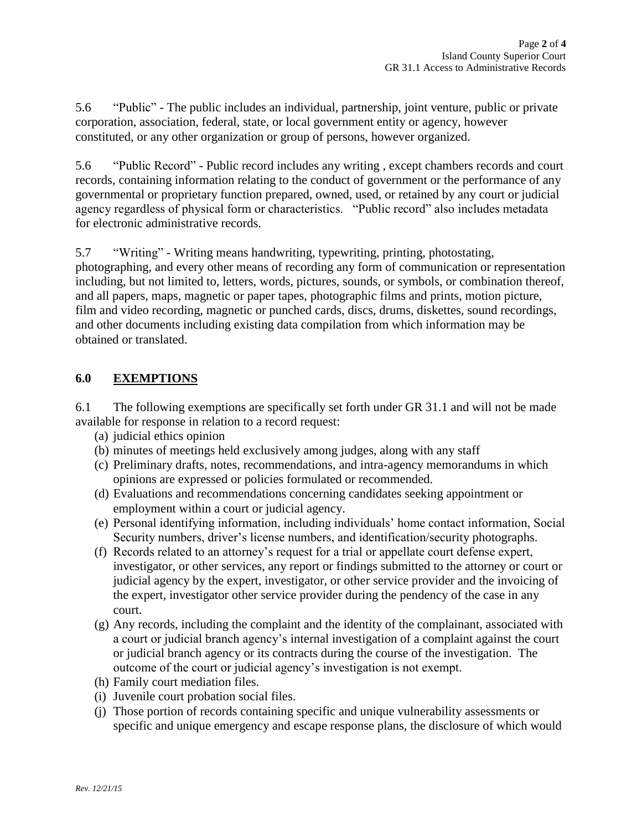5.6 "Public" - The public includes an individual, partnership, joint venture, public or private corporation, association, federal, state, or local government entity or agency, however constituted, or any other organization or group of persons, however organized.

5.6 "Public Record" - Public record includes any writing , except chambers records and court records, containing information relating to the conduct of government or the performance of any governmental or proprietary function prepared, owned, used, or retained by any court or judicial agency regardless of physical form or characteristics. "Public record" also includes metadata for electronic administrative records.

5.7 "Writing" - Writing means handwriting, typewriting, printing, photostating, photographing, and every other means of recording any form of communication or representation including, but not limited to, letters, words, pictures, sounds, or symbols, or combination thereof, and all papers, maps, magnetic or paper tapes, photographic films and prints, motion picture, film and video recording, magnetic or punched cards, discs, drums, diskettes, sound recordings, and other documents including existing data compilation from which information may be obtained or translated.

## **6.0 EXEMPTIONS**

6.1 The following exemptions are specifically set forth under GR 31.1 and will not be made available for response in relation to a record request:

- (a) judicial ethics opinion
- (b) minutes of meetings held exclusively among judges, along with any staff
- (c) Preliminary drafts, notes, recommendations, and intra-agency memorandums in which opinions are expressed or policies formulated or recommended.
- (d) Evaluations and recommendations concerning candidates seeking appointment or employment within a court or judicial agency.
- (e) Personal identifying information, including individuals' home contact information, Social Security numbers, driver's license numbers, and identification/security photographs.
- (f) Records related to an attorney's request for a trial or appellate court defense expert, investigator, or other services, any report or findings submitted to the attorney or court or judicial agency by the expert, investigator, or other service provider and the invoicing of the expert, investigator other service provider during the pendency of the case in any court.
- (g) Any records, including the complaint and the identity of the complainant, associated with a court or judicial branch agency's internal investigation of a complaint against the court or judicial branch agency or its contracts during the course of the investigation. The outcome of the court or judicial agency's investigation is not exempt.
- (h) Family court mediation files.
- (i) Juvenile court probation social files.
- (j) Those portion of records containing specific and unique vulnerability assessments or specific and unique emergency and escape response plans, the disclosure of which would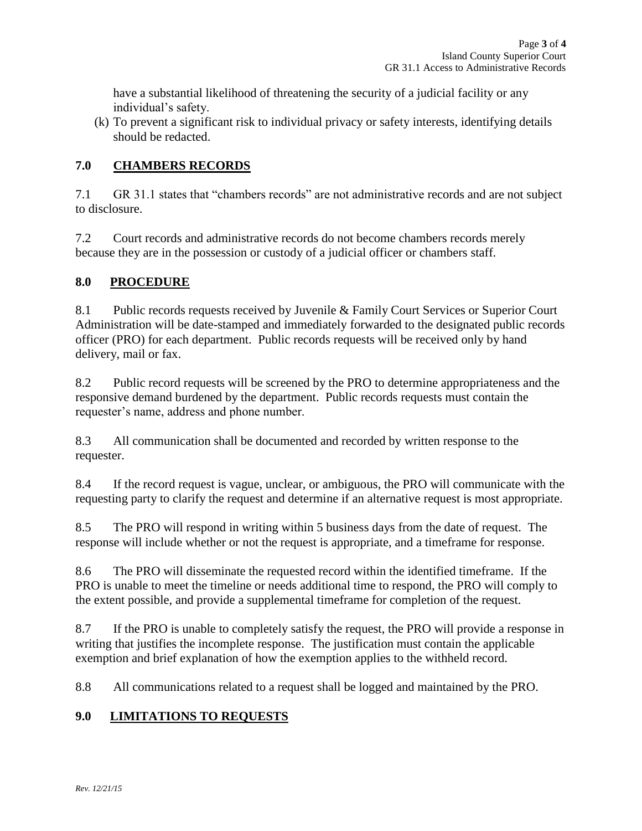have a substantial likelihood of threatening the security of a judicial facility or any individual's safety.

(k) To prevent a significant risk to individual privacy or safety interests, identifying details should be redacted.

## **7.0 CHAMBERS RECORDS**

7.1 GR 31.1 states that "chambers records" are not administrative records and are not subject to disclosure.

7.2 Court records and administrative records do not become chambers records merely because they are in the possession or custody of a judicial officer or chambers staff.

### **8.0 PROCEDURE**

8.1 Public records requests received by Juvenile & Family Court Services or Superior Court Administration will be date-stamped and immediately forwarded to the designated public records officer (PRO) for each department. Public records requests will be received only by hand delivery, mail or fax.

8.2 Public record requests will be screened by the PRO to determine appropriateness and the responsive demand burdened by the department. Public records requests must contain the requester's name, address and phone number.

8.3 All communication shall be documented and recorded by written response to the requester.

8.4 If the record request is vague, unclear, or ambiguous, the PRO will communicate with the requesting party to clarify the request and determine if an alternative request is most appropriate.

8.5 The PRO will respond in writing within 5 business days from the date of request. The response will include whether or not the request is appropriate, and a timeframe for response.

8.6 The PRO will disseminate the requested record within the identified timeframe. If the PRO is unable to meet the timeline or needs additional time to respond, the PRO will comply to the extent possible, and provide a supplemental timeframe for completion of the request.

8.7 If the PRO is unable to completely satisfy the request, the PRO will provide a response in writing that justifies the incomplete response. The justification must contain the applicable exemption and brief explanation of how the exemption applies to the withheld record.

8.8 All communications related to a request shall be logged and maintained by the PRO.

# **9.0 LIMITATIONS TO REQUESTS**